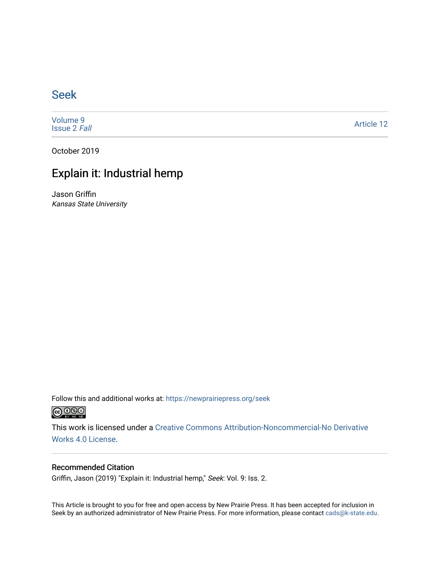### [Seek](https://newprairiepress.org/seek)

[Volume 9](https://newprairiepress.org/seek/vol9) [Issue 2](https://newprairiepress.org/seek/vol9/iss2) Fall

[Article 12](https://newprairiepress.org/seek/vol9/iss2/12) 

October 2019

## Explain it: Industrial hemp

Jason Griffin Kansas State University

Follow this and additional works at: [https://newprairiepress.org/seek](https://newprairiepress.org/seek?utm_source=newprairiepress.org%2Fseek%2Fvol9%2Fiss2%2F12&utm_medium=PDF&utm_campaign=PDFCoverPages)



This work is licensed under a [Creative Commons Attribution-Noncommercial-No Derivative](https://creativecommons.org/licenses/by-nc-nd/4.0/)  [Works 4.0 License](https://creativecommons.org/licenses/by-nc-nd/4.0/).

#### Recommended Citation

Griffin, Jason (2019) "Explain it: Industrial hemp," Seek: Vol. 9: Iss. 2.

This Article is brought to you for free and open access by New Prairie Press. It has been accepted for inclusion in Seek by an authorized administrator of New Prairie Press. For more information, please contact [cads@k-state.edu](mailto:cads@k-state.edu).